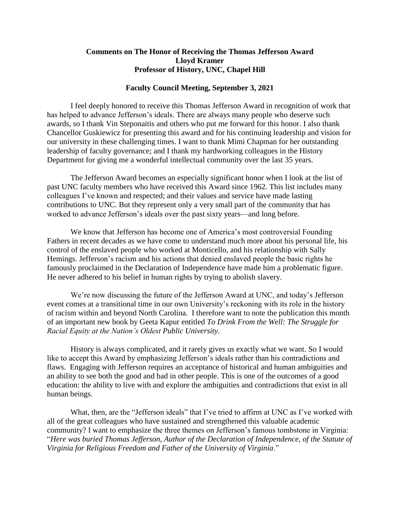# **Comments on The Honor of Receiving the Thomas Jefferson Award Lloyd Kramer Professor of History, UNC, Chapel Hill**

# **Faculty Council Meeting, September 3, 2021**

I feel deeply honored to receive this Thomas Jefferson Award in recognition of work that has helped to advance Jefferson's ideals. There are always many people who deserve such awards, so I thank Vin Steponaitis and others who put me forward for this honor. I also thank Chancellor Guskiewicz for presenting this award and for his continuing leadership and vision for our university in these challenging times. I want to thank Mimi Chapman for her outstanding leadership of faculty governance; and I thank my hardworking colleagues in the History Department for giving me a wonderful intellectual community over the last 35 years.

The Jefferson Award becomes an especially significant honor when I look at the list of past UNC faculty members who have received this Award since 1962. This list includes many colleagues I've known and respected; and their values and service have made lasting contributions to UNC. But they represent only a very small part of the community that has worked to advance Jefferson's ideals over the past sixty years—and long before.

We know that Jefferson has become one of America's most controversial Founding Fathers in recent decades as we have come to understand much more about his personal life, his control of the enslaved people who worked at Monticello, and his relationship with Sally Hemings. Jefferson's racism and his actions that denied enslaved people the basic rights he famously proclaimed in the Declaration of Independence have made him a problematic figure. He never adhered to his belief in human rights by trying to abolish slavery.

We're now discussing the future of the Jefferson Award at UNC, and today's Jefferson event comes at a transitional time in our own University's reckoning with its role in the history of racism within and beyond North Carolina. I therefore want to note the publication this month of an important new book by Geeta Kapur entitled *To Drink From the Well: The Struggle for Racial Equity at the Nation's Oldest Public University*.

History is always complicated, and it rarely gives us exactly what we want. So I would like to accept this Award by emphasizing Jefferson's ideals rather than his contradictions and flaws. Engaging with Jefferson requires an acceptance of historical and human ambiguities and an ability to see both the good and bad in other people. This is one of the outcomes of a good education: the ability to live with and explore the ambiguities and contradictions that exist in all human beings.

What, then, are the "Jefferson ideals" that I've tried to affirm at UNC as I've worked with all of the great colleagues who have sustained and strengthened this valuable academic community? I want to emphasize the three themes on Jefferson's famous tombstone in Virginia: "*Here was buried Thomas Jefferson, Author of the Declaration of Independence, of the Statute of Virginia for Religious Freedom and Father of the University of Virginia*."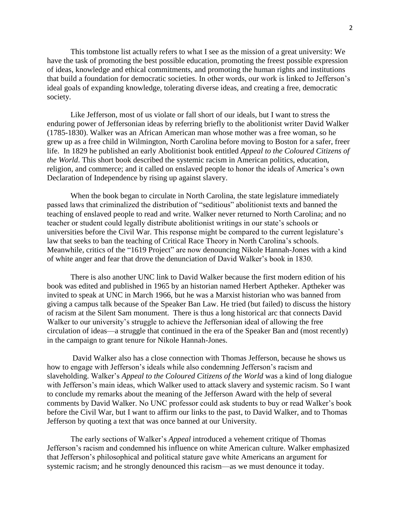This tombstone list actually refers to what I see as the mission of a great university: We have the task of promoting the best possible education, promoting the freest possible expression of ideas, knowledge and ethical commitments, and promoting the human rights and institutions that build a foundation for democratic societies. In other words, our work is linked to Jefferson's ideal goals of expanding knowledge, tolerating diverse ideas, and creating a free, democratic society.

Like Jefferson, most of us violate or fall short of our ideals, but I want to stress the enduring power of Jeffersonian ideas by referring briefly to the abolitionist writer David Walker (1785-1830). Walker was an African American man whose mother was a free woman, so he grew up as a free child in Wilmington, North Carolina before moving to Boston for a safer, freer life. In 1829 he published an early Abolitionist book entitled *Appeal to the Coloured Citizens of the World*. This short book described the systemic racism in American politics, education, religion, and commerce; and it called on enslaved people to honor the ideals of America's own Declaration of Independence by rising up against slavery.

When the book began to circulate in North Carolina, the state legislature immediately passed laws that criminalized the distribution of "seditious" abolitionist texts and banned the teaching of enslaved people to read and write. Walker never returned to North Carolina; and no teacher or student could legally distribute abolitionist writings in our state's schools or universities before the Civil War. This response might be compared to the current legislature's law that seeks to ban the teaching of Critical Race Theory in North Carolina's schools. Meanwhile, critics of the "1619 Project" are now denouncing Nikole Hannah-Jones with a kind of white anger and fear that drove the denunciation of David Walker's book in 1830.

There is also another UNC link to David Walker because the first modern edition of his book was edited and published in 1965 by an historian named Herbert Aptheker. Aptheker was invited to speak at UNC in March 1966, but he was a Marxist historian who was banned from giving a campus talk because of the Speaker Ban Law. He tried (but failed) to discuss the history of racism at the Silent Sam monument. There is thus a long historical arc that connects David Walker to our university's struggle to achieve the Jeffersonian ideal of allowing the free circulation of ideas—a struggle that continued in the era of the Speaker Ban and (most recently) in the campaign to grant tenure for Nikole Hannah-Jones.

David Walker also has a close connection with Thomas Jefferson, because he shows us how to engage with Jefferson's ideals while also condemning Jefferson's racism and slaveholding. Walker's *Appeal to the Coloured Citizens of the World* was a kind of long dialogue with Jefferson's main ideas, which Walker used to attack slavery and systemic racism. So I want to conclude my remarks about the meaning of the Jefferson Award with the help of several comments by David Walker. No UNC professor could ask students to buy or read Walker's book before the Civil War, but I want to affirm our links to the past, to David Walker, and to Thomas Jefferson by quoting a text that was once banned at our University.

The early sections of Walker's *Appeal* introduced a vehement critique of Thomas Jefferson's racism and condemned his influence on white American culture. Walker emphasized that Jefferson's philosophical and political stature gave white Americans an argument for systemic racism; and he strongly denounced this racism—as we must denounce it today.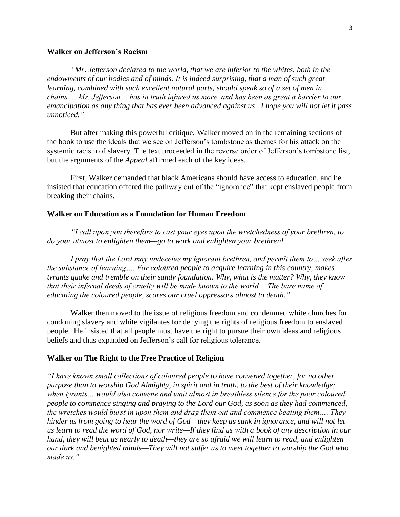# **Walker on Jefferson's Racism**

*"Mr. Jefferson declared to the world, that we are inferior to the whites, both in the endowments of our bodies and of minds. It is indeed surprising, that a man of such great learning, combined with such excellent natural parts, should speak so of a set of men in chains…. Mr. Jefferson… has in truth injured us more, and has been as great a barrier to our emancipation as any thing that has ever been advanced against us. I hope you will not let it pass unnoticed."*

But after making this powerful critique, Walker moved on in the remaining sections of the book to use the ideals that we see on Jefferson's tombstone as themes for his attack on the systemic racism of slavery. The text proceeded in the reverse order of Jefferson's tombstone list, but the arguments of the *Appeal* affirmed each of the key ideas.

First, Walker demanded that black Americans should have access to education, and he insisted that education offered the pathway out of the "ignorance" that kept enslaved people from breaking their chains.

### **Walker on Education as a Foundation for Human Freedom**

*"I call upon you therefore to cast your eyes upon the wretchedness of your brethren, to do your utmost to enlighten them—go to work and enlighten your brethren!*

*I pray that the Lord may undeceive my ignorant brethren, and permit them to… seek after the substance of learning…. For coloured people to acquire learning in this country, makes tyrants quake and tremble on their sandy foundation. Why, what is the matter? Why, they know that their infernal deeds of cruelty will be made known to the world… The bare name of educating the coloured people, scares our cruel oppressors almost to death."*

Walker then moved to the issue of religious freedom and condemned white churches for condoning slavery and white vigilantes for denying the rights of religious freedom to enslaved people. He insisted that all people must have the right to pursue their own ideas and religious beliefs and thus expanded on Jefferson's call for religious tolerance.

#### **Walker on The Right to the Free Practice of Religion**

*"I have known small collections of coloured people to have convened together, for no other purpose than to worship God Almighty, in spirit and in truth, to the best of their knowledge; when tyrants… would also convene and wait almost in breathless silence for the poor coloured people to commence singing and praying to the Lord our God, as soon as they had commenced, the wretches would burst in upon them and drag them out and commence beating them…. They hinder us from going to hear the word of God—they keep us sunk in ignorance, and will not let us learn to read the word of God, nor write—If they find us with a book of any description in our hand, they will beat us nearly to death—they are so afraid we will learn to read, and enlighten our dark and benighted minds—They will not suffer us to meet together to worship the God who made us."*